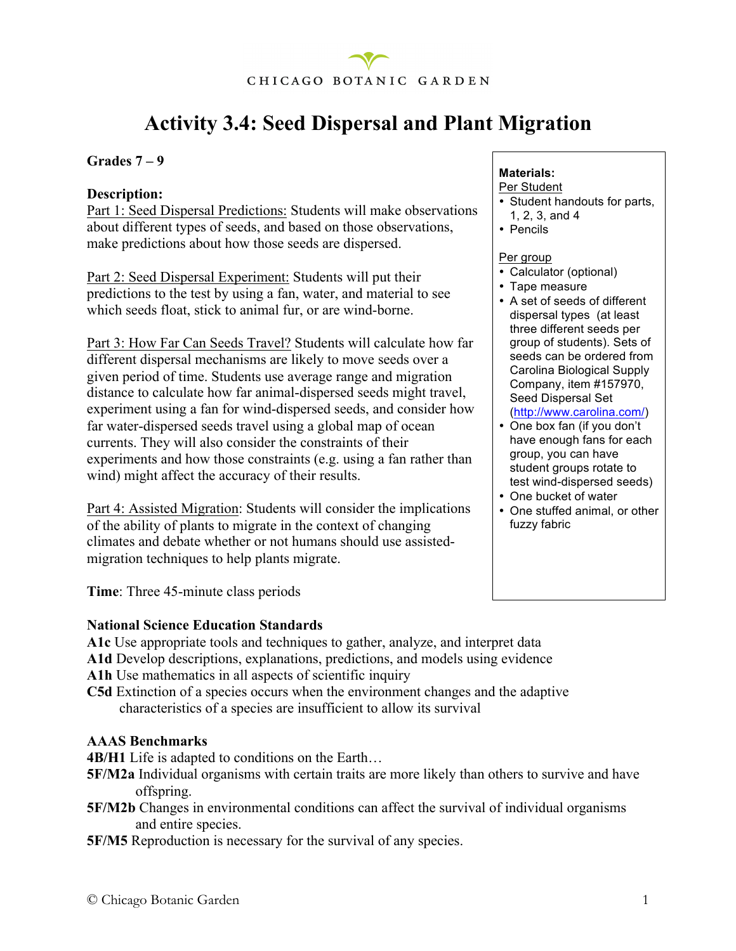

### **Activity 3.4: Seed Dispersal and Plant Migration**

#### **Grades 7 – 9**

#### **Description:**

Part 1: Seed Dispersal Predictions: Students will make observations about different types of seeds, and based on those observations, make predictions about how those seeds are dispersed.

Part 2: Seed Dispersal Experiment: Students will put their predictions to the test by using a fan, water, and material to see which seeds float, stick to animal fur, or are wind-borne.

Part 3: How Far Can Seeds Travel? Students will calculate how far different dispersal mechanisms are likely to move seeds over a given period of time. Students use average range and migration distance to calculate how far animal-dispersed seeds might travel, experiment using a fan for wind-dispersed seeds, and consider how far water-dispersed seeds travel using a global map of ocean currents. They will also consider the constraints of their experiments and how those constraints (e.g. using a fan rather than wind) might affect the accuracy of their results.

Part 4: Assisted Migration: Students will consider the implications of the ability of plants to migrate in the context of changing climates and debate whether or not humans should use assistedmigration techniques to help plants migrate.

#### **Materials:** Per Student

- Student handouts for parts,
- 1, 2, 3, and 4
- Pencils

#### Per group

- Calculator (optional)
- Tape measure
- A set of seeds of different dispersal types (at least three different seeds per group of students). Sets of seeds can be ordered from Carolina Biological Supply Company, item #157970, Seed Dispersal Set (http://www.carolina.com/)
- One box fan (if you don't have enough fans for each group, you can have student groups rotate to test wind-dispersed seeds)
- One bucket of water
- One stuffed animal, or other fuzzy fabric

**Time**: Three 45-minute class periods

#### **National Science Education Standards**

**A1c** Use appropriate tools and techniques to gather, analyze, and interpret data

- **A1d** Develop descriptions, explanations, predictions, and models using evidence
- A1h Use mathematics in all aspects of scientific inquiry
- **C5d** Extinction of a species occurs when the environment changes and the adaptive characteristics of a species are insufficient to allow its survival

#### **AAAS Benchmarks**

**4B/H1** Life is adapted to conditions on the Earth…

- **5F/M2a** Individual organisms with certain traits are more likely than others to survive and have offspring.
- **5F/M2b** Changes in environmental conditions can affect the survival of individual organisms and entire species.
- **5F/M5** Reproduction is necessary for the survival of any species.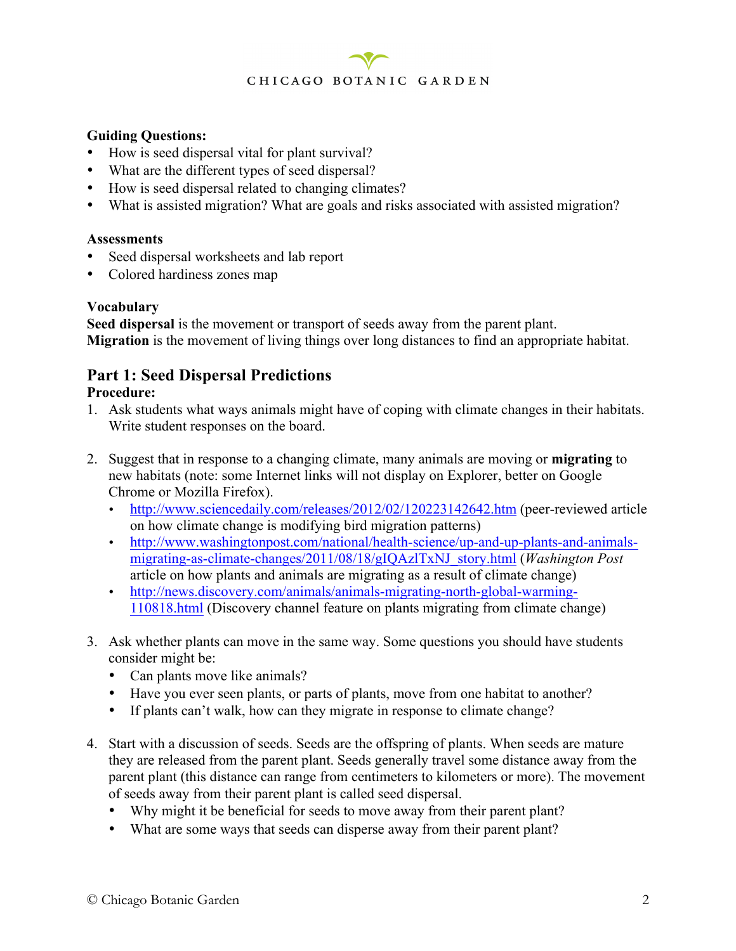#### **Guiding Questions:**

- How is seed dispersal vital for plant survival?
- What are the different types of seed dispersal?
- How is seed dispersal related to changing climates?
- What is assisted migration? What are goals and risks associated with assisted migration?

#### **Assessments**

- Seed dispersal worksheets and lab report
- Colored hardiness zones map

#### **Vocabulary**

**Seed dispersal** is the movement or transport of seeds away from the parent plant. **Migration** is the movement of living things over long distances to find an appropriate habitat.

### **Part 1: Seed Dispersal Predictions**

#### **Procedure:**

- 1. Ask students what ways animals might have of coping with climate changes in their habitats. Write student responses on the board.
- 2. Suggest that in response to a changing climate, many animals are moving or **migrating** to new habitats (note: some Internet links will not display on Explorer, better on Google Chrome or Mozilla Firefox).
	- http://www.sciencedaily.com/releases/2012/02/120223142642.htm (peer-reviewed article on how climate change is modifying bird migration patterns)
	- http://www.washingtonpost.com/national/health-science/up-and-up-plants-and-animalsmigrating-as-climate-changes/2011/08/18/gIQAzlTxNJ\_story.html (*Washington Post*  article on how plants and animals are migrating as a result of climate change)
	- http://news.discovery.com/animals/animals-migrating-north-global-warming-110818.html (Discovery channel feature on plants migrating from climate change)
- 3. Ask whether plants can move in the same way. Some questions you should have students consider might be:
	- Can plants move like animals?
	- Have you ever seen plants, or parts of plants, move from one habitat to another?
	- If plants can't walk, how can they migrate in response to climate change?
- 4. Start with a discussion of seeds. Seeds are the offspring of plants. When seeds are mature they are released from the parent plant. Seeds generally travel some distance away from the parent plant (this distance can range from centimeters to kilometers or more). The movement of seeds away from their parent plant is called seed dispersal.
	- Why might it be beneficial for seeds to move away from their parent plant?
	- What are some ways that seeds can disperse away from their parent plant?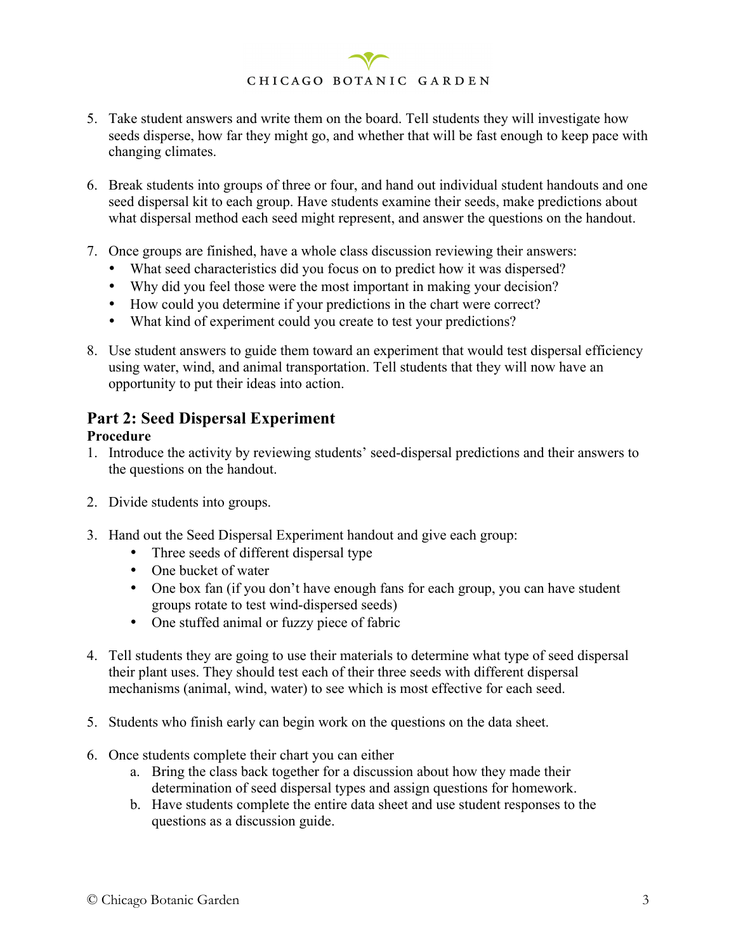- 5. Take student answers and write them on the board. Tell students they will investigate how seeds disperse, how far they might go, and whether that will be fast enough to keep pace with changing climates.
- 6. Break students into groups of three or four, and hand out individual student handouts and one seed dispersal kit to each group. Have students examine their seeds, make predictions about what dispersal method each seed might represent, and answer the questions on the handout.
- 7. Once groups are finished, have a whole class discussion reviewing their answers:
	- What seed characteristics did you focus on to predict how it was dispersed?
	- Why did you feel those were the most important in making your decision?
	- How could you determine if your predictions in the chart were correct?
	- What kind of experiment could you create to test your predictions?
- 8. Use student answers to guide them toward an experiment that would test dispersal efficiency using water, wind, and animal transportation. Tell students that they will now have an opportunity to put their ideas into action.

### **Part 2: Seed Dispersal Experiment**

#### **Procedure**

- 1. Introduce the activity by reviewing students' seed-dispersal predictions and their answers to the questions on the handout.
- 2. Divide students into groups.
- 3. Hand out the Seed Dispersal Experiment handout and give each group:
	- Three seeds of different dispersal type
	- One bucket of water
	- One box fan (if you don't have enough fans for each group, you can have student groups rotate to test wind-dispersed seeds)
	- One stuffed animal or fuzzy piece of fabric
- 4. Tell students they are going to use their materials to determine what type of seed dispersal their plant uses. They should test each of their three seeds with different dispersal mechanisms (animal, wind, water) to see which is most effective for each seed.
- 5. Students who finish early can begin work on the questions on the data sheet.
- 6. Once students complete their chart you can either
	- a. Bring the class back together for a discussion about how they made their determination of seed dispersal types and assign questions for homework.
	- b. Have students complete the entire data sheet and use student responses to the questions as a discussion guide.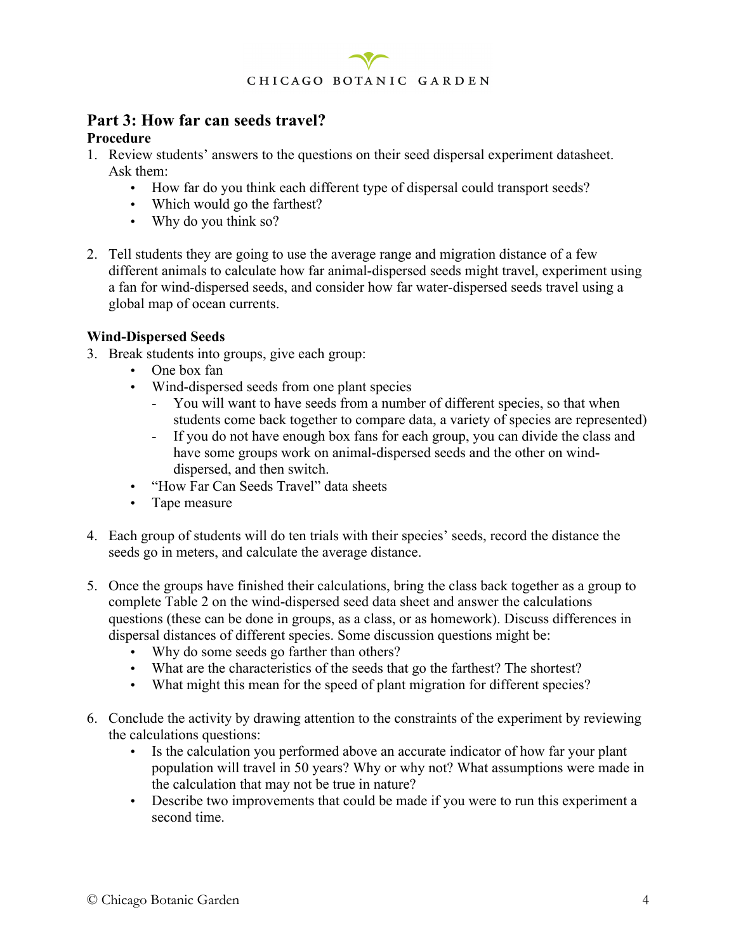

#### **Part 3: How far can seeds travel? Procedure**

- 1. Review students' answers to the questions on their seed dispersal experiment datasheet. Ask them:
	- How far do you think each different type of dispersal could transport seeds?
	- Which would go the farthest?
	- Why do you think so?
- 2. Tell students they are going to use the average range and migration distance of a few different animals to calculate how far animal-dispersed seeds might travel, experiment using a fan for wind-dispersed seeds, and consider how far water-dispersed seeds travel using a global map of ocean currents.

#### **Wind-Dispersed Seeds**

- 3. Break students into groups, give each group:
	- One box fan
	- Wind-dispersed seeds from one plant species
		- You will want to have seeds from a number of different species, so that when students come back together to compare data, a variety of species are represented)
		- If you do not have enough box fans for each group, you can divide the class and have some groups work on animal-dispersed seeds and the other on winddispersed, and then switch.
	- "How Far Can Seeds Travel" data sheets
	- Tape measure
- 4. Each group of students will do ten trials with their species' seeds, record the distance the seeds go in meters, and calculate the average distance.
- 5. Once the groups have finished their calculations, bring the class back together as a group to complete Table 2 on the wind-dispersed seed data sheet and answer the calculations questions (these can be done in groups, as a class, or as homework). Discuss differences in dispersal distances of different species. Some discussion questions might be:
	- Why do some seeds go farther than others?
	- What are the characteristics of the seeds that go the farthest? The shortest?
	- What might this mean for the speed of plant migration for different species?
- 6. Conclude the activity by drawing attention to the constraints of the experiment by reviewing the calculations questions:
	- Is the calculation you performed above an accurate indicator of how far your plant population will travel in 50 years? Why or why not? What assumptions were made in the calculation that may not be true in nature?
	- Describe two improvements that could be made if you were to run this experiment a second time.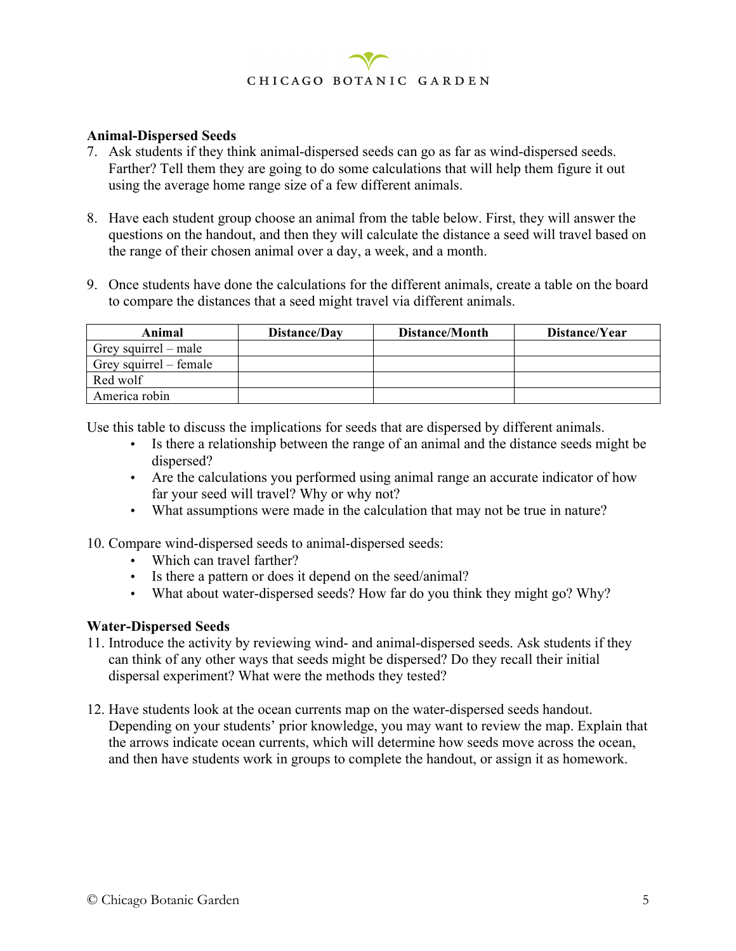#### **Animal-Dispersed Seeds**

- 7. Ask students if they think animal-dispersed seeds can go as far as wind-dispersed seeds. Farther? Tell them they are going to do some calculations that will help them figure it out using the average home range size of a few different animals.
- 8. Have each student group choose an animal from the table below. First, they will answer the questions on the handout, and then they will calculate the distance a seed will travel based on the range of their chosen animal over a day, a week, and a month.
- 9. Once students have done the calculations for the different animals, create a table on the board to compare the distances that a seed might travel via different animals.

| Animal                 | Distance/Day | Distance/Month | Distance/Year |
|------------------------|--------------|----------------|---------------|
| Grey squirrel $-$ male |              |                |               |
| Grey squirrel – female |              |                |               |
| Red wolf               |              |                |               |
| America robin          |              |                |               |

Use this table to discuss the implications for seeds that are dispersed by different animals.

- Is there a relationship between the range of an animal and the distance seeds might be dispersed?
- Are the calculations you performed using animal range an accurate indicator of how far your seed will travel? Why or why not?
- What assumptions were made in the calculation that may not be true in nature?

10. Compare wind-dispersed seeds to animal-dispersed seeds:

- Which can travel farther?
- Is there a pattern or does it depend on the seed/animal?
- What about water-dispersed seeds? How far do you think they might go? Why?

#### **Water-Dispersed Seeds**

- 11. Introduce the activity by reviewing wind- and animal-dispersed seeds. Ask students if they can think of any other ways that seeds might be dispersed? Do they recall their initial dispersal experiment? What were the methods they tested?
- 12. Have students look at the ocean currents map on the water-dispersed seeds handout. Depending on your students' prior knowledge, you may want to review the map. Explain that the arrows indicate ocean currents, which will determine how seeds move across the ocean, and then have students work in groups to complete the handout, or assign it as homework.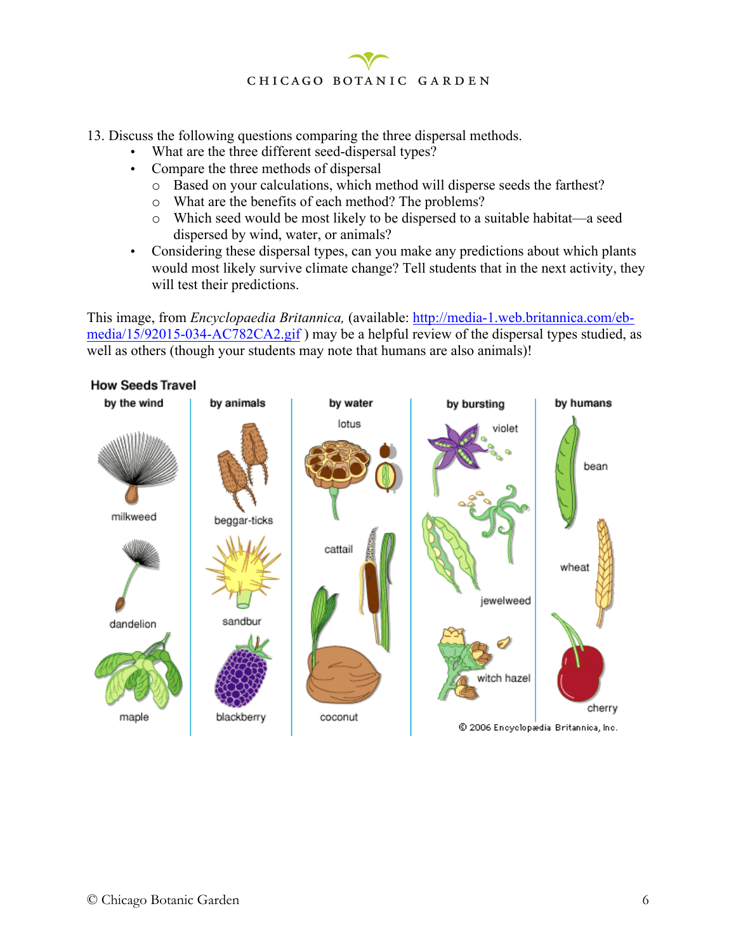13. Discuss the following questions comparing the three dispersal methods.

- What are the three different seed-dispersal types?
- Compare the three methods of dispersal
	- o Based on your calculations, which method will disperse seeds the farthest?
	- o What are the benefits of each method? The problems?
	- o Which seed would be most likely to be dispersed to a suitable habitat—a seed dispersed by wind, water, or animals?
- Considering these dispersal types, can you make any predictions about which plants would most likely survive climate change? Tell students that in the next activity, they will test their predictions.

This image, from *Encyclopaedia Britannica,* (available: http://media-1.web.britannica.com/ebmedia/15/92015-034-AC782CA2.gif ) may be a helpful review of the dispersal types studied, as well as others (though your students may note that humans are also animals)!

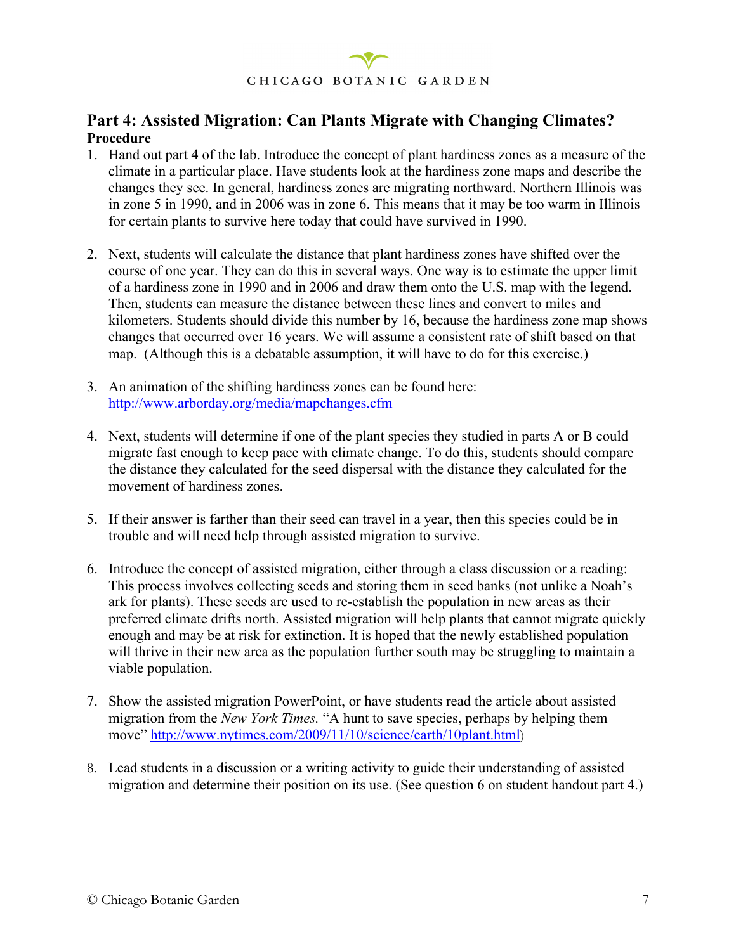

#### **Part 4: Assisted Migration: Can Plants Migrate with Changing Climates? Procedure**

- 1. Hand out part 4 of the lab. Introduce the concept of plant hardiness zones as a measure of the climate in a particular place. Have students look at the hardiness zone maps and describe the changes they see. In general, hardiness zones are migrating northward. Northern Illinois was in zone 5 in 1990, and in 2006 was in zone 6. This means that it may be too warm in Illinois for certain plants to survive here today that could have survived in 1990.
- 2. Next, students will calculate the distance that plant hardiness zones have shifted over the course of one year. They can do this in several ways. One way is to estimate the upper limit of a hardiness zone in 1990 and in 2006 and draw them onto the U.S. map with the legend. Then, students can measure the distance between these lines and convert to miles and kilometers. Students should divide this number by 16, because the hardiness zone map shows changes that occurred over 16 years. We will assume a consistent rate of shift based on that map. (Although this is a debatable assumption, it will have to do for this exercise.)
- 3. An animation of the shifting hardiness zones can be found here: http://www.arborday.org/media/mapchanges.cfm
- 4. Next, students will determine if one of the plant species they studied in parts A or B could migrate fast enough to keep pace with climate change. To do this, students should compare the distance they calculated for the seed dispersal with the distance they calculated for the movement of hardiness zones.
- 5. If their answer is farther than their seed can travel in a year, then this species could be in trouble and will need help through assisted migration to survive.
- 6. Introduce the concept of assisted migration, either through a class discussion or a reading: This process involves collecting seeds and storing them in seed banks (not unlike a Noah's ark for plants). These seeds are used to re-establish the population in new areas as their preferred climate drifts north. Assisted migration will help plants that cannot migrate quickly enough and may be at risk for extinction. It is hoped that the newly established population will thrive in their new area as the population further south may be struggling to maintain a viable population.
- 7. Show the assisted migration PowerPoint, or have students read the article about assisted migration from the *New York Times.* "A hunt to save species, perhaps by helping them move" http://www.nytimes.com/2009/11/10/science/earth/10plant.html)
- 8. Lead students in a discussion or a writing activity to guide their understanding of assisted migration and determine their position on its use. (See question 6 on student handout part 4.)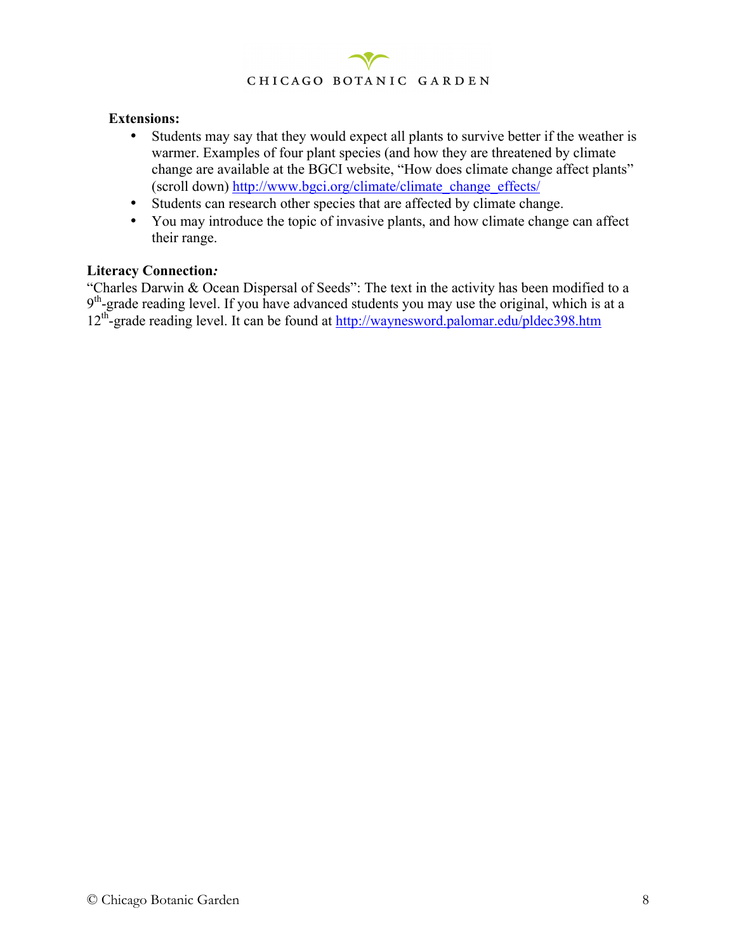

#### **Extensions:**

- Students may say that they would expect all plants to survive better if the weather is warmer. Examples of four plant species (and how they are threatened by climate change are available at the BGCI website, "How does climate change affect plants" (scroll down) http://www.bgci.org/climate/climate\_change\_effects/
- Students can research other species that are affected by climate change.
- You may introduce the topic of invasive plants, and how climate change can affect their range.

#### **Literacy Connection***:*

"Charles Darwin & Ocean Dispersal of Seeds": The text in the activity has been modified to a  $9<sup>th</sup>$ -grade reading level. If you have advanced students you may use the original, which is at a 12<sup>th</sup>-grade reading level. It can be found at http://waynesword.palomar.edu/pldec398.htm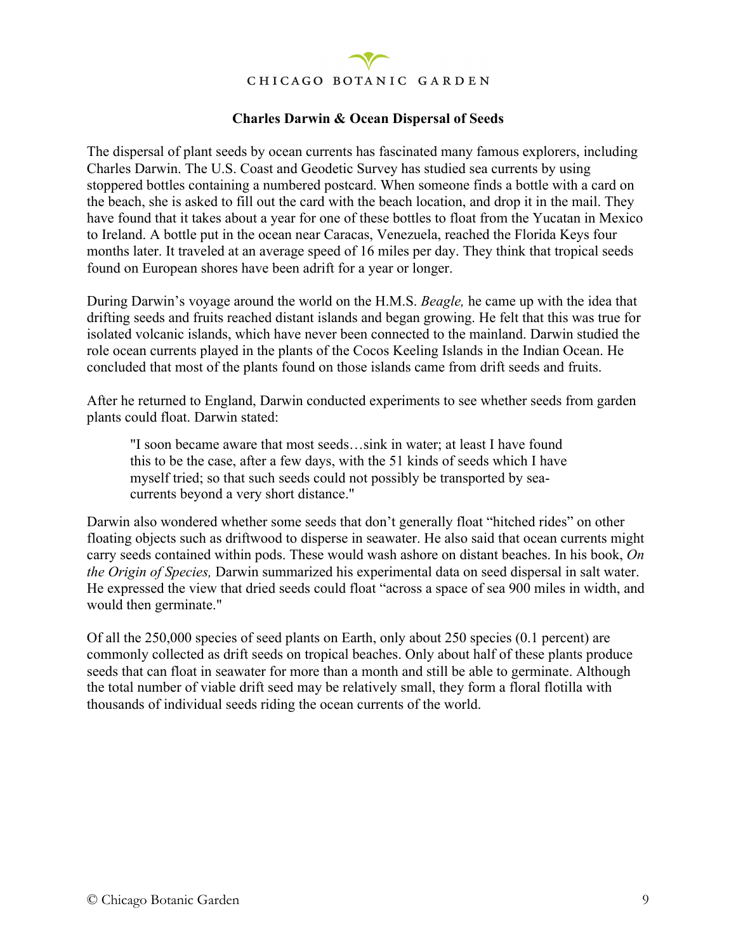

#### **Charles Darwin & Ocean Dispersal of Seeds**

The dispersal of plant seeds by ocean currents has fascinated many famous explorers, including Charles Darwin. The U.S. Coast and Geodetic Survey has studied sea currents by using stoppered bottles containing a numbered postcard. When someone finds a bottle with a card on the beach, she is asked to fill out the card with the beach location, and drop it in the mail. They have found that it takes about a year for one of these bottles to float from the Yucatan in Mexico to Ireland. A bottle put in the ocean near Caracas, Venezuela, reached the Florida Keys four months later. It traveled at an average speed of 16 miles per day. They think that tropical seeds found on European shores have been adrift for a year or longer.

During Darwin's voyage around the world on the H.M.S. *Beagle,* he came up with the idea that drifting seeds and fruits reached distant islands and began growing. He felt that this was true for isolated volcanic islands, which have never been connected to the mainland. Darwin studied the role ocean currents played in the plants of the Cocos Keeling Islands in the Indian Ocean. He concluded that most of the plants found on those islands came from drift seeds and fruits.

After he returned to England, Darwin conducted experiments to see whether seeds from garden plants could float. Darwin stated:

"I soon became aware that most seeds…sink in water; at least I have found this to be the case, after a few days, with the 51 kinds of seeds which I have myself tried; so that such seeds could not possibly be transported by seacurrents beyond a very short distance."

Darwin also wondered whether some seeds that don't generally float "hitched rides" on other floating objects such as driftwood to disperse in seawater. He also said that ocean currents might carry seeds contained within pods. These would wash ashore on distant beaches. In his book, *On the Origin of Species,* Darwin summarized his experimental data on seed dispersal in salt water. He expressed the view that dried seeds could float "across a space of sea 900 miles in width, and would then germinate."

Of all the 250,000 species of seed plants on Earth, only about 250 species (0.1 percent) are commonly collected as drift seeds on tropical beaches. Only about half of these plants produce seeds that can float in seawater for more than a month and still be able to germinate. Although the total number of viable drift seed may be relatively small, they form a floral flotilla with thousands of individual seeds riding the ocean currents of the world.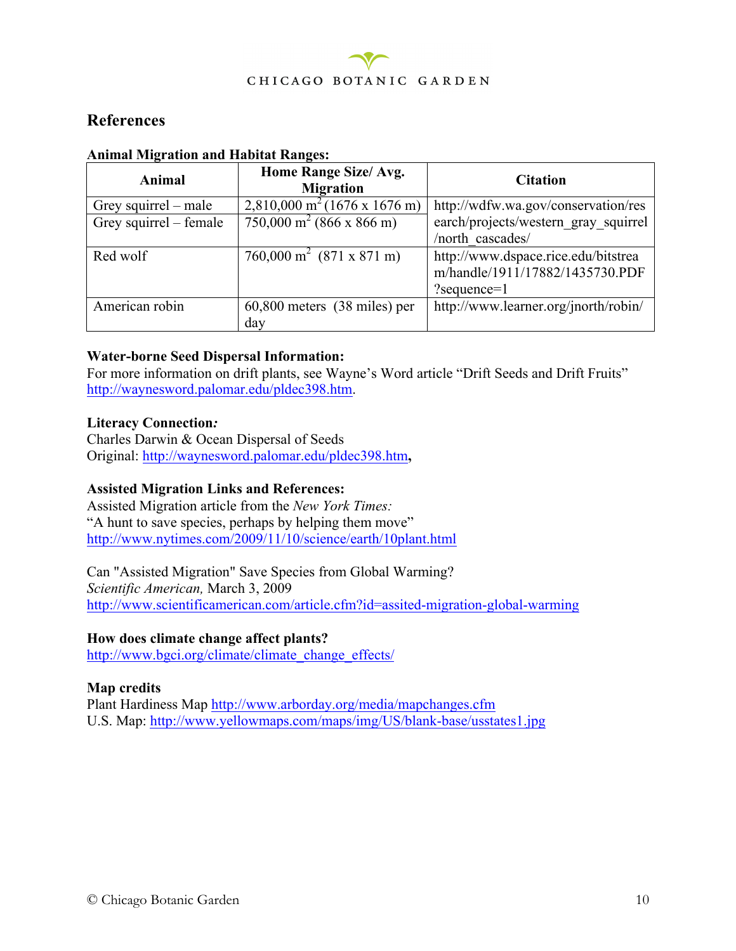

#### **References**

| Animal                 | Home Range Size/ Avg.<br><b>Migration</b>                    | <b>Citation</b>                      |
|------------------------|--------------------------------------------------------------|--------------------------------------|
| Grey squirrel – male   | 2,810,000 m <sup>2</sup> (1676 x 1676 m)                     | http://wdfw.wa.gov/conservation/res  |
| Grey squirrel – female | $\frac{750,000 \text{ m}^2}{(866 \text{ x } 866 \text{ m})}$ | earch/projects/western gray squirrel |
|                        |                                                              | /north cascades/                     |
| Red wolf               | 760,000 m <sup>2</sup> (871 x 871 m)                         | http://www.dspace.rice.edu/bitstrea  |
|                        |                                                              | m/handle/1911/17882/1435730.PDF      |
|                        |                                                              | $? sequence=1$                       |
| American robin         | $60,800$ meters $(38 \text{ miles})$ per                     | http://www.learner.org/jnorth/robin/ |
|                        | day                                                          |                                      |

#### **Animal Migration and Habitat Ranges:**

#### **Water-borne Seed Dispersal Information:**

For more information on drift plants, see Wayne's Word article "Drift Seeds and Drift Fruits" http://waynesword.palomar.edu/pldec398.htm.

#### **Literacy Connection***:*

Charles Darwin & Ocean Dispersal of Seeds Original: http://waynesword.palomar.edu/pldec398.htm**,**

#### **Assisted Migration Links and References:**

Assisted Migration article from the *New York Times:* "A hunt to save species, perhaps by helping them move" http://www.nytimes.com/2009/11/10/science/earth/10plant.html

Can "Assisted Migration" Save Species from Global Warming? *Scientific American,* March 3, 2009 http://www.scientificamerican.com/article.cfm?id=assited-migration-global-warming

#### **How does climate change affect plants?**

http://www.bgci.org/climate/climate\_change\_effects/

#### **Map credits**

Plant Hardiness Map http://www.arborday.org/media/mapchanges.cfm U.S. Map: http://www.yellowmaps.com/maps/img/US/blank-base/usstates1.jpg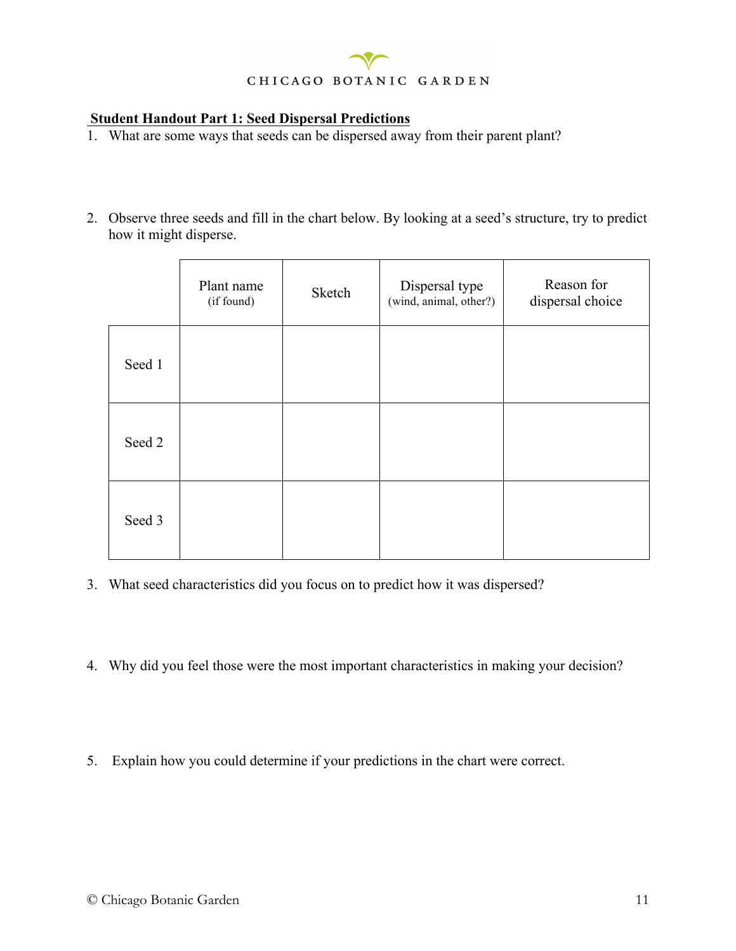#### **Student Handout Part 1: Seed Dispersal Predictions**

- 1. What are some ways that seeds can be dispersed away from their parent plant?
- 2. Observe three seeds and fill in the chart below. By looking at a seed's structure, try to predict how it might disperse.

|        | Plant name<br>(if found) | Sketch | Dispersal type<br>(wind, animal, other?) | Reason for<br>dispersal choice |
|--------|--------------------------|--------|------------------------------------------|--------------------------------|
| Seed 1 |                          |        |                                          |                                |
| Seed 2 |                          |        |                                          |                                |
| Seed 3 |                          |        |                                          |                                |

- 3. What seed characteristics did you focus on to predict how it was dispersed?
- 4. Why did you feel those were the most important characteristics in making your decision?
- 5. Explain how you could determine if your predictions in the chart were correct.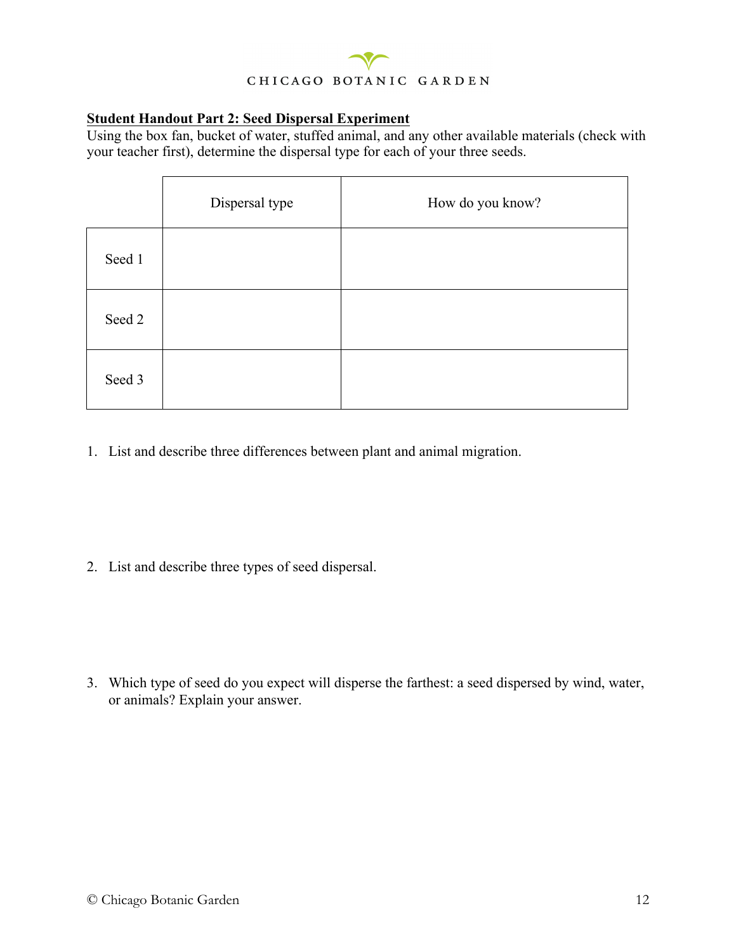#### **Student Handout Part 2: Seed Dispersal Experiment**

Using the box fan, bucket of water, stuffed animal, and any other available materials (check with your teacher first), determine the dispersal type for each of your three seeds.

|        | Dispersal type | How do you know? |
|--------|----------------|------------------|
| Seed 1 |                |                  |
| Seed 2 |                |                  |
| Seed 3 |                |                  |

1. List and describe three differences between plant and animal migration.

2. List and describe three types of seed dispersal.

3. Which type of seed do you expect will disperse the farthest: a seed dispersed by wind, water, or animals? Explain your answer.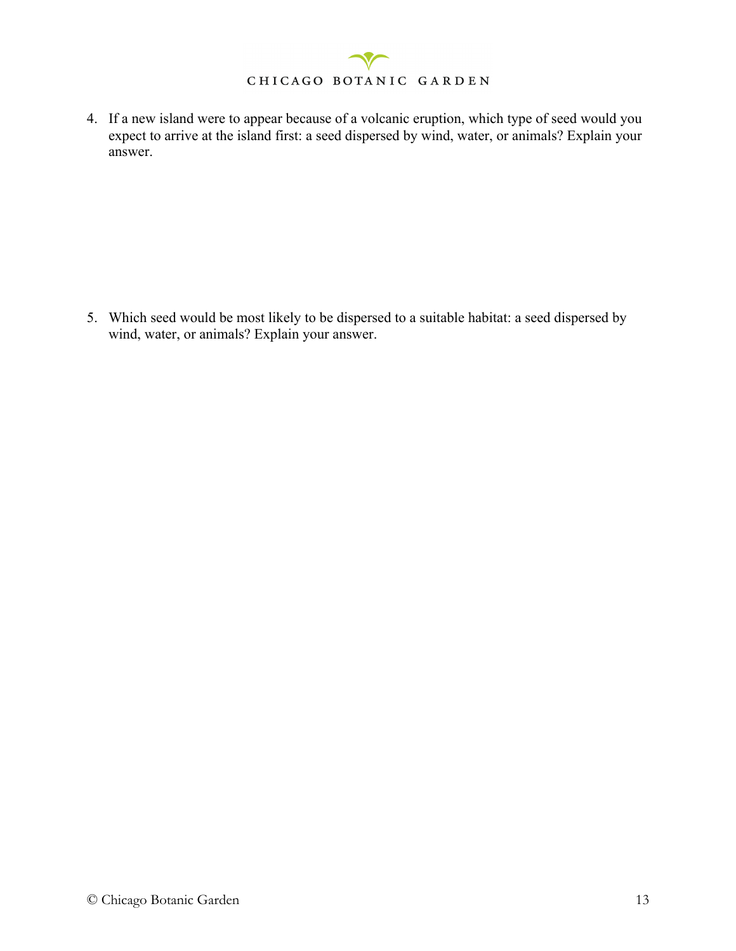4. If a new island were to appear because of a volcanic eruption, which type of seed would you expect to arrive at the island first: a seed dispersed by wind, water, or animals? Explain your answer.

5. Which seed would be most likely to be dispersed to a suitable habitat: a seed dispersed by wind, water, or animals? Explain your answer.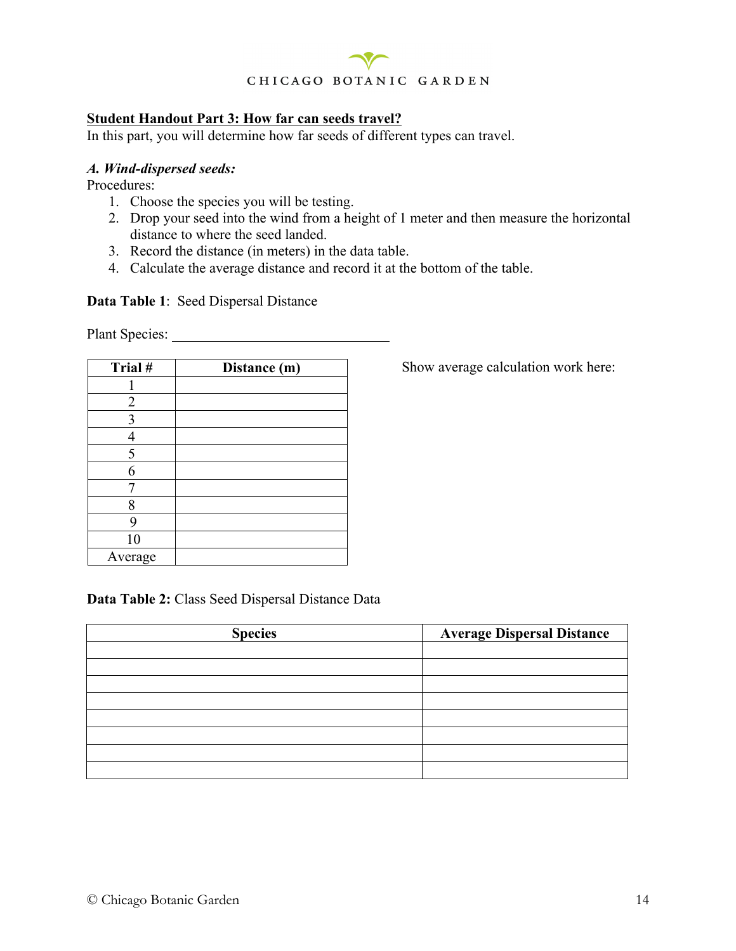

#### **Student Handout Part 3: How far can seeds travel?**

In this part, you will determine how far seeds of different types can travel.

#### *A. Wind-dispersed seeds:*

Procedures:

- 1. Choose the species you will be testing.
- 2. Drop your seed into the wind from a height of 1 meter and then measure the horizontal distance to where the seed landed.
- 3. Record the distance (in meters) in the data table.
- 4. Calculate the average distance and record it at the bottom of the table.

#### **Data Table 1**: Seed Dispersal Distance

Plant Species:

| Trial#         | Distance (m) |
|----------------|--------------|
|                |              |
| $\overline{2}$ |              |
| 3              |              |
|                |              |
| 5              |              |
| 6              |              |
|                |              |
| 8              |              |
| 9              |              |
| 10             |              |
| Average        |              |

Show average calculation work here:

**Data Table 2:** Class Seed Dispersal Distance Data

| <b>Species</b> | <b>Average Dispersal Distance</b> |
|----------------|-----------------------------------|
|                |                                   |
|                |                                   |
|                |                                   |
|                |                                   |
|                |                                   |
|                |                                   |
|                |                                   |
|                |                                   |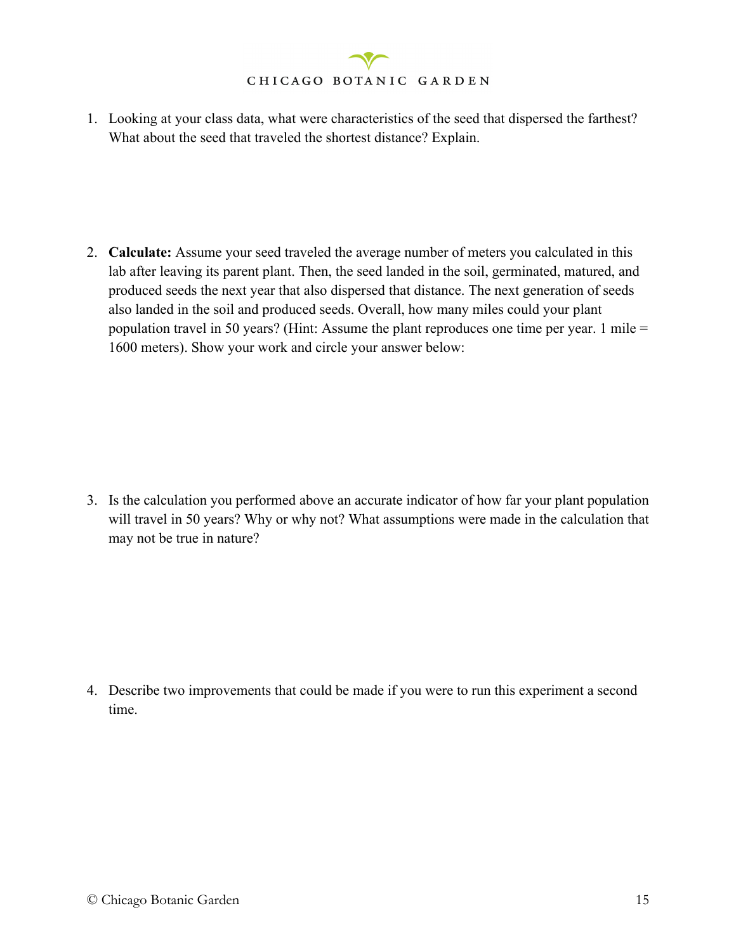1. Looking at your class data, what were characteristics of the seed that dispersed the farthest? What about the seed that traveled the shortest distance? Explain.

2. **Calculate:** Assume your seed traveled the average number of meters you calculated in this lab after leaving its parent plant. Then, the seed landed in the soil, germinated, matured, and produced seeds the next year that also dispersed that distance. The next generation of seeds also landed in the soil and produced seeds. Overall, how many miles could your plant population travel in 50 years? (Hint: Assume the plant reproduces one time per year. 1 mile = 1600 meters). Show your work and circle your answer below:

3. Is the calculation you performed above an accurate indicator of how far your plant population will travel in 50 years? Why or why not? What assumptions were made in the calculation that may not be true in nature?

4. Describe two improvements that could be made if you were to run this experiment a second time.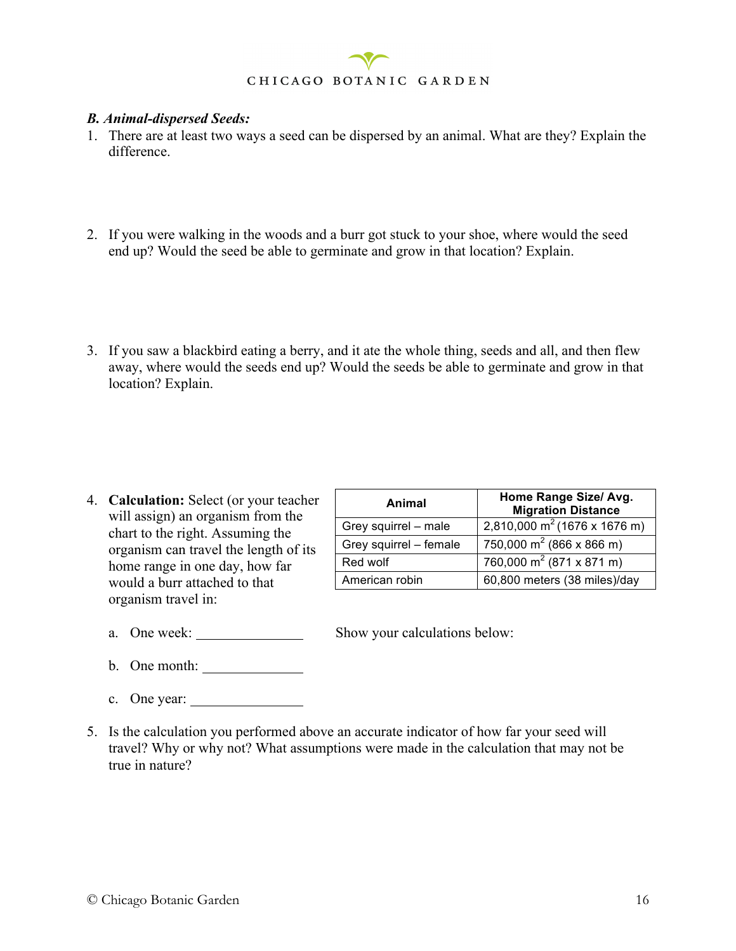

#### *B. Animal-dispersed Seeds:*

- 1. There are at least two ways a seed can be dispersed by an animal. What are they? Explain the difference.
- 2. If you were walking in the woods and a burr got stuck to your shoe, where would the seed end up? Would the seed be able to germinate and grow in that location? Explain.
- 3. If you saw a blackbird eating a berry, and it ate the whole thing, seeds and all, and then flew away, where would the seeds end up? Would the seeds be able to germinate and grow in that location? Explain.

4. **Calculation:** Select (or your teacher will assign) an organism from the chart to the right. Assuming the organism can travel the length of its home range in one day, how far would a burr attached to that organism travel in:

| Animal                 | Home Range Size/ Avg.<br><b>Migration Distance</b> |
|------------------------|----------------------------------------------------|
| Grey squirrel - male   | 2,810,000 m <sup>2</sup> (1676 x 1676 m)           |
| Grey squirrel - female | 750,000 m <sup>2</sup> (866 x 866 m)               |
| Red wolf               | 760,000 m <sup>2</sup> (871 x 871 m)               |
| American robin         | 60,800 meters (38 miles)/day                       |

a. One week: Show your calculations below:

- b. One month:
- c. One year:
- 5. Is the calculation you performed above an accurate indicator of how far your seed will travel? Why or why not? What assumptions were made in the calculation that may not be true in nature?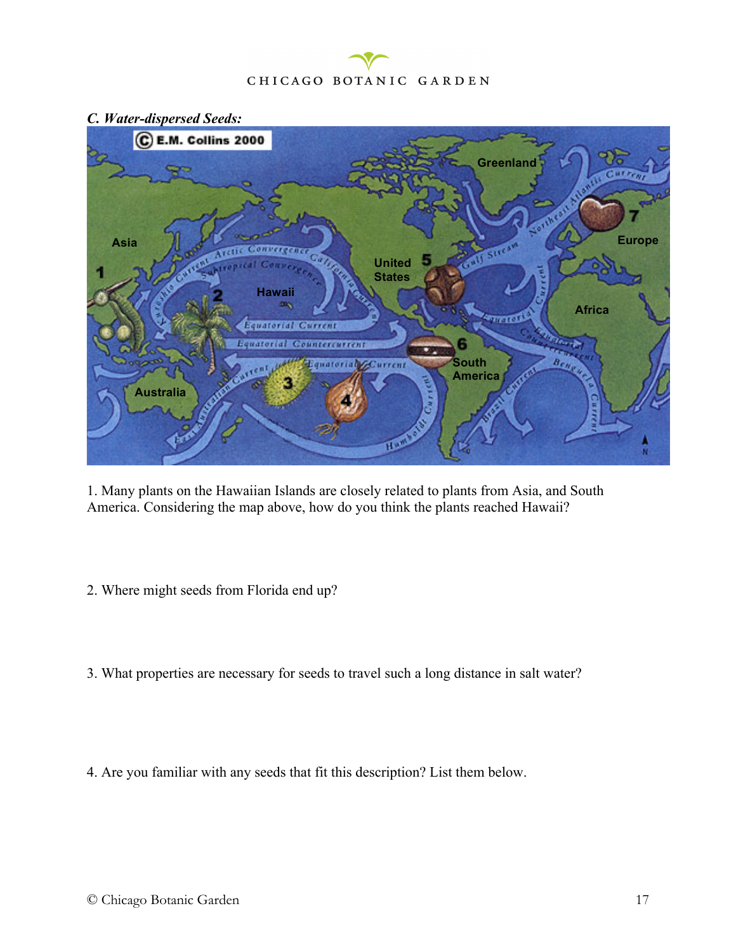- C E.M. Collins 2000 **Greenland**Asia **Asia PERSONAL RELATION** st **United States Hawaii Africa Frict** uatorial Curren  $r_{n+1}$ *Children* **Control**  $B_{EMp}$ **South**  urrent **America Australia**
- *C. Water-dispersed Seeds:*

1. Many plants on the Hawaiian Islands are closely related to plants from Asia, and South America. Considering the map above, how do you think the plants reached Hawaii?

- 2. Where might seeds from Florida end up?
- 3. What properties are necessary for seeds to travel such a long distance in salt water?
- 4. Are you familiar with any seeds that fit this description? List them below.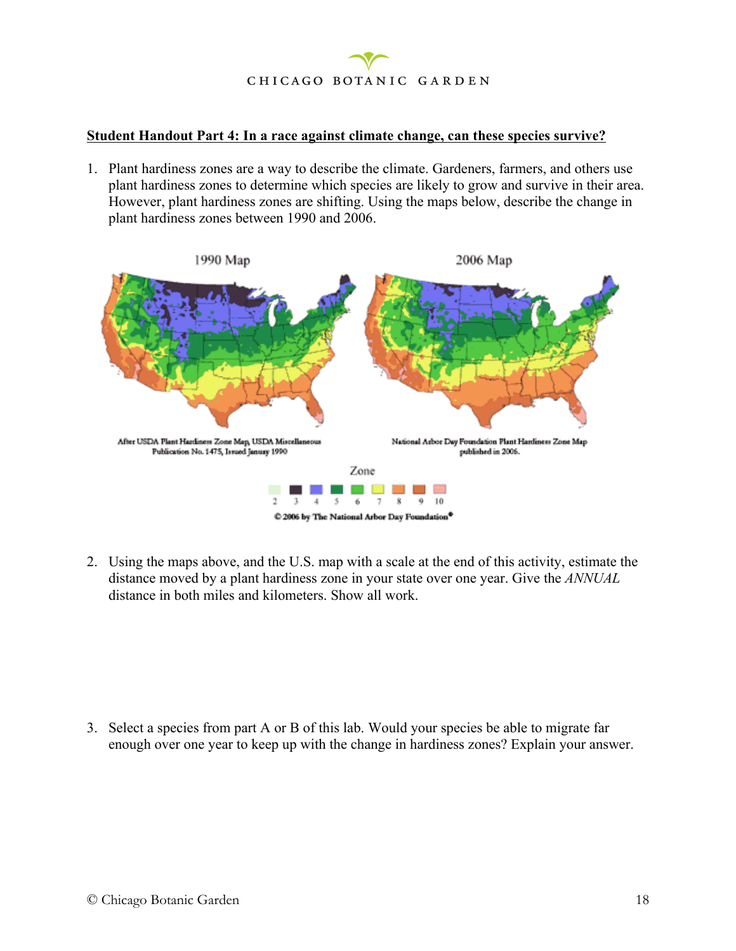

#### **Student Handout Part 4: In a race against climate change, can these species survive?**

1. Plant hardiness zones are a way to describe the climate. Gardeners, farmers, and others use plant hardiness zones to determine which species are likely to grow and survive in their area. However, plant hardiness zones are shifting. Using the maps below, describe the change in plant hardiness zones between 1990 and 2006.



2. Using the maps above, and the U.S. map with a scale at the end of this activity, estimate the distance moved by a plant hardiness zone in your state over one year. Give the *ANNUAL* distance in both miles and kilometers. Show all work.

3. Select a species from part A or B of this lab. Would your species be able to migrate far enough over one year to keep up with the change in hardiness zones? Explain your answer.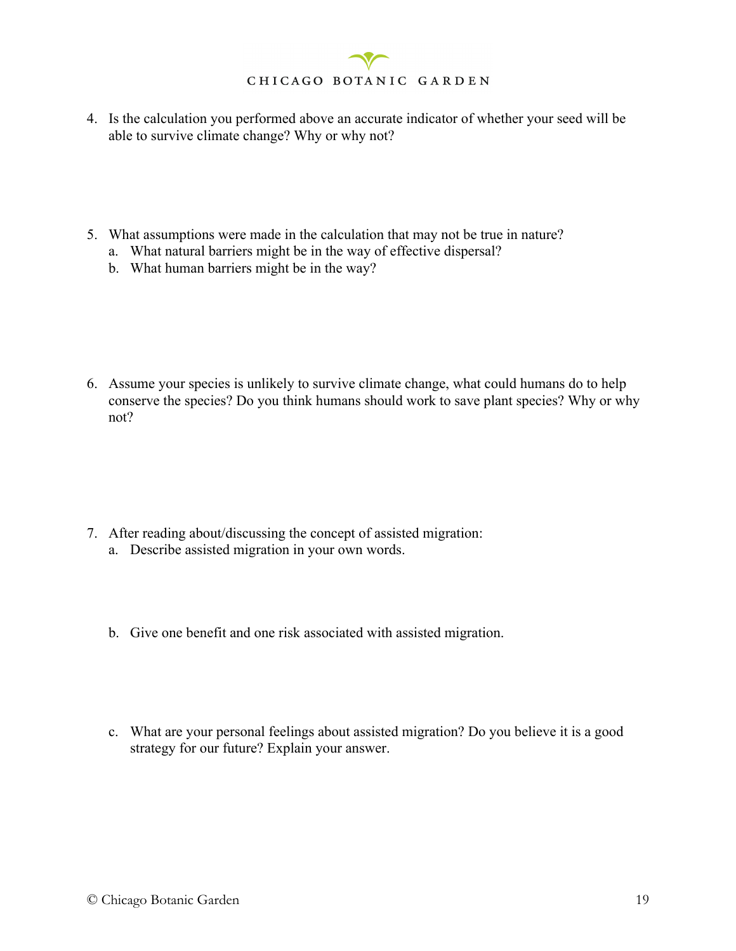- 4. Is the calculation you performed above an accurate indicator of whether your seed will be able to survive climate change? Why or why not?
- 5. What assumptions were made in the calculation that may not be true in nature?
	- a. What natural barriers might be in the way of effective dispersal?
	- b. What human barriers might be in the way?

6. Assume your species is unlikely to survive climate change, what could humans do to help conserve the species? Do you think humans should work to save plant species? Why or why not?

- 7. After reading about/discussing the concept of assisted migration: a. Describe assisted migration in your own words.
	- b. Give one benefit and one risk associated with assisted migration.
	- c. What are your personal feelings about assisted migration? Do you believe it is a good strategy for our future? Explain your answer.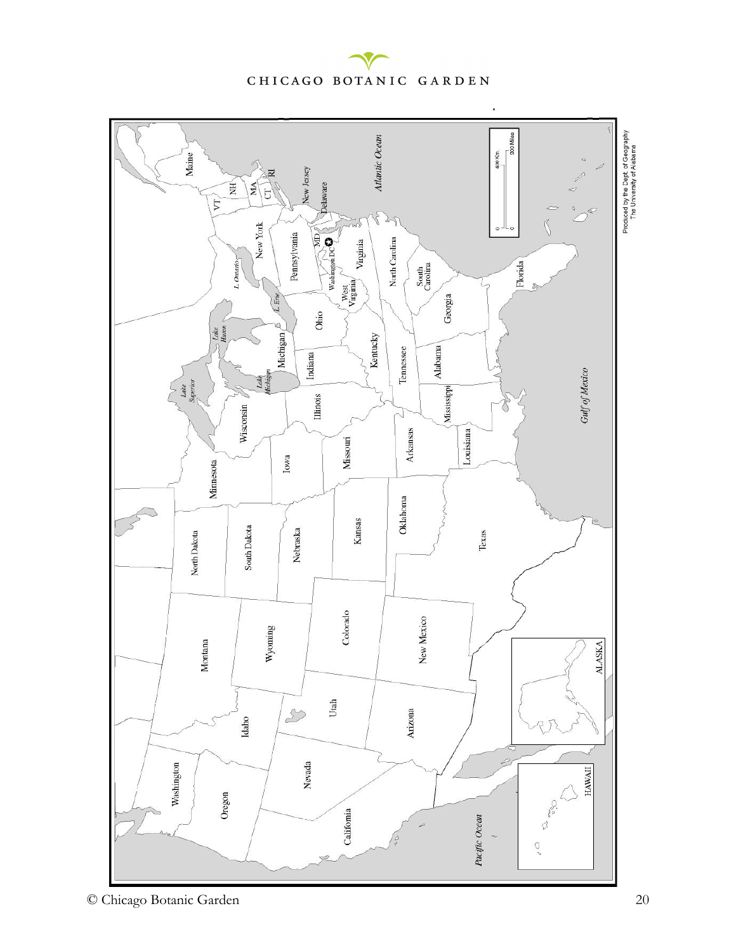

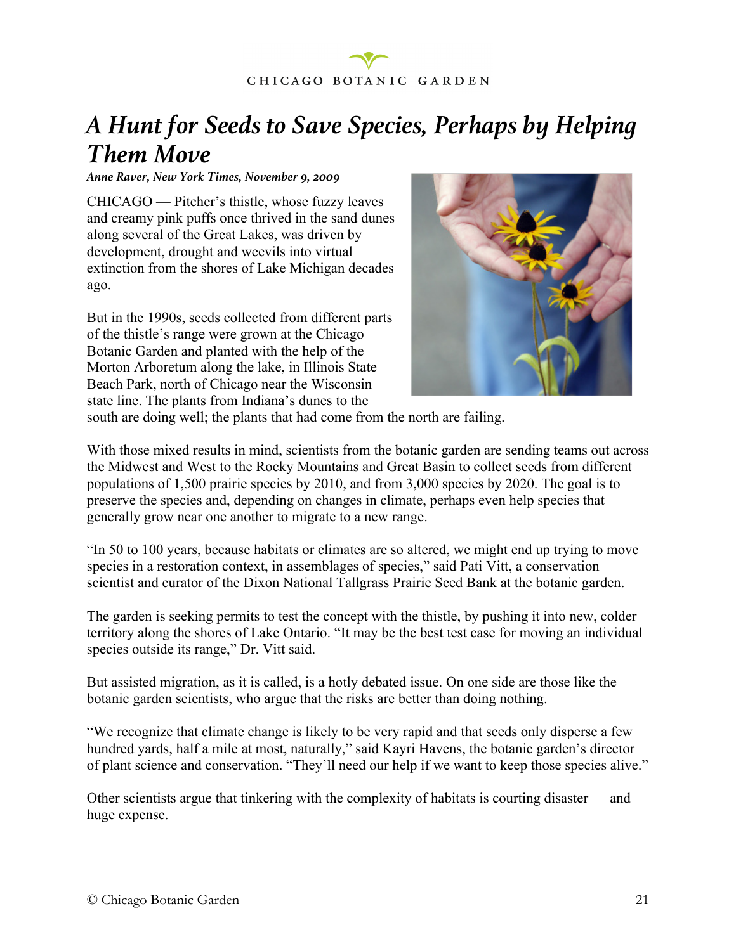

### *A Hunt for Seeds to Save Species, Perhaps by Helping Them Move*

*Anne Raver, New York Times, November 9, 2009*

CHICAGO — Pitcher's thistle, whose fuzzy leaves and creamy pink puffs once thrived in the sand dunes along several of the Great Lakes, was driven by development, drought and weevils into virtual extinction from the shores of Lake Michigan decades ago.

But in the 1990s, seeds collected from different parts of the thistle's range were grown at the Chicago Botanic Garden and planted with the help of the Morton Arboretum along the lake, in Illinois State Beach Park, north of Chicago near the Wisconsin state line. The plants from Indiana's dunes to the



south are doing well; the plants that had come from the north are failing.

With those mixed results in mind, scientists from the botanic garden are sending teams out across the Midwest and West to the Rocky Mountains and Great Basin to collect seeds from different populations of 1,500 prairie species by 2010, and from 3,000 species by 2020. The goal is to preserve the species and, depending on changes in climate, perhaps even help species that generally grow near one another to migrate to a new range.

"In 50 to 100 years, because habitats or climates are so altered, we might end up trying to move species in a restoration context, in assemblages of species," said Pati Vitt, a conservation scientist and curator of the Dixon National Tallgrass Prairie Seed Bank at the botanic garden.

The garden is seeking permits to test the concept with the thistle, by pushing it into new, colder territory along the shores of Lake Ontario. "It may be the best test case for moving an individual species outside its range," Dr. Vitt said.

But assisted migration, as it is called, is a hotly debated issue. On one side are those like the botanic garden scientists, who argue that the risks are better than doing nothing.

"We recognize that climate change is likely to be very rapid and that seeds only disperse a few hundred yards, half a mile at most, naturally," said Kayri Havens, the botanic garden's director of plant science and conservation. "They'll need our help if we want to keep those species alive."

Other scientists argue that tinkering with the complexity of habitats is courting disaster — and huge expense.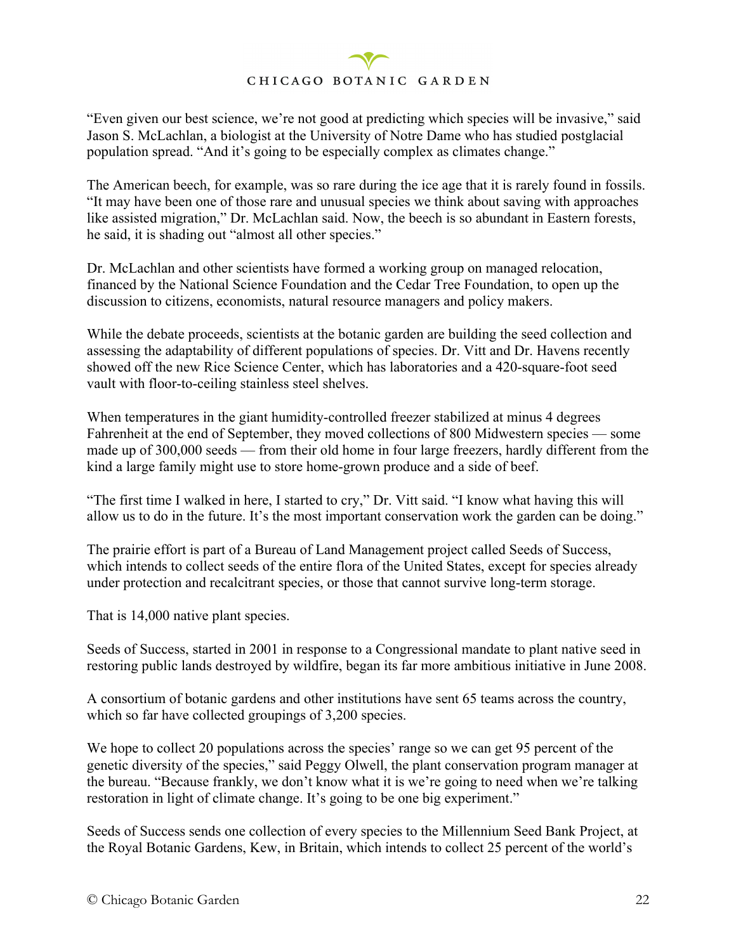"Even given our best science, we're not good at predicting which species will be invasive," said Jason S. McLachlan, a biologist at the University of Notre Dame who has studied postglacial population spread. "And it's going to be especially complex as climates change."

The American beech, for example, was so rare during the ice age that it is rarely found in fossils. "It may have been one of those rare and unusual species we think about saving with approaches like assisted migration," Dr. McLachlan said. Now, the beech is so abundant in Eastern forests, he said, it is shading out "almost all other species."

Dr. McLachlan and other scientists have formed a working group on managed relocation, financed by the National Science Foundation and the Cedar Tree Foundation, to open up the discussion to citizens, economists, natural resource managers and policy makers.

While the debate proceeds, scientists at the botanic garden are building the seed collection and assessing the adaptability of different populations of species. Dr. Vitt and Dr. Havens recently showed off the new Rice Science Center, which has laboratories and a 420-square-foot seed vault with floor-to-ceiling stainless steel shelves.

When temperatures in the giant humidity-controlled freezer stabilized at minus 4 degrees Fahrenheit at the end of September, they moved collections of 800 Midwestern species — some made up of 300,000 seeds — from their old home in four large freezers, hardly different from the kind a large family might use to store home-grown produce and a side of beef.

"The first time I walked in here, I started to cry," Dr. Vitt said. "I know what having this will allow us to do in the future. It's the most important conservation work the garden can be doing."

The prairie effort is part of a Bureau of Land Management project called Seeds of Success, which intends to collect seeds of the entire flora of the United States, except for species already under protection and recalcitrant species, or those that cannot survive long-term storage.

That is 14,000 native plant species.

Seeds of Success, started in 2001 in response to a Congressional mandate to plant native seed in restoring public lands destroyed by wildfire, began its far more ambitious initiative in June 2008.

A consortium of botanic gardens and other institutions have sent 65 teams across the country, which so far have collected groupings of 3,200 species.

We hope to collect 20 populations across the species' range so we can get 95 percent of the genetic diversity of the species," said Peggy Olwell, the plant conservation program manager at the bureau. "Because frankly, we don't know what it is we're going to need when we're talking restoration in light of climate change. It's going to be one big experiment."

Seeds of Success sends one collection of every species to the Millennium Seed Bank Project, at the Royal Botanic Gardens, Kew, in Britain, which intends to collect 25 percent of the world's